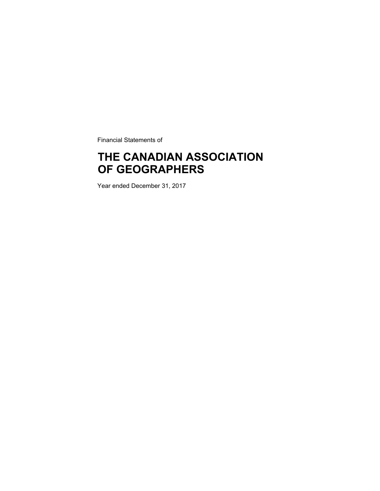Financial Statements of

# **THE CANADIAN ASSOCIATION OF GEOGRAPHERS**

Year ended December 31, 2017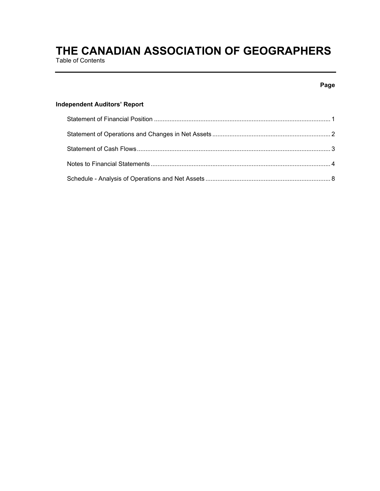Table of Contents

### **Page**

## **Independent Auditors' Report**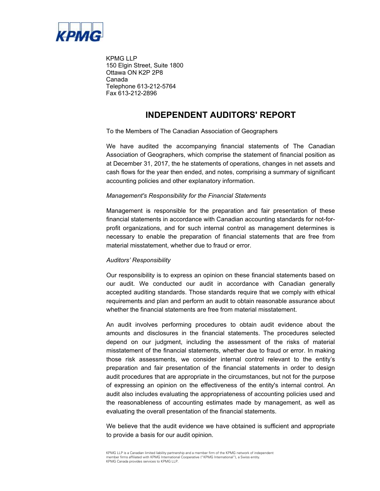

KPMG LLP 150 Elgin Street, Suite 1800 Ottawa ON K2P 2P8 Canada Telephone 613-212-5764 Fax 613-212-2896

# **INDEPENDENT AUDITORS' REPORT**

To the Members of The Canadian Association of Geographers

We have audited the accompanying financial statements of The Canadian Association of Geographers, which comprise the statement of financial position as at December 31, 2017, the he statements of operations, changes in net assets and cash flows for the year then ended, and notes, comprising a summary of significant accounting policies and other explanatory information.

### *Management's Responsibility for the Financial Statements*

Management is responsible for the preparation and fair presentation of these financial statements in accordance with Canadian accounting standards for not-forprofit organizations, and for such internal control as management determines is necessary to enable the preparation of financial statements that are free from material misstatement, whether due to fraud or error.

#### *Auditors' Responsibility*

Our responsibility is to express an opinion on these financial statements based on our audit. We conducted our audit in accordance with Canadian generally accepted auditing standards. Those standards require that we comply with ethical requirements and plan and perform an audit to obtain reasonable assurance about whether the financial statements are free from material misstatement.

An audit involves performing procedures to obtain audit evidence about the amounts and disclosures in the financial statements. The procedures selected depend on our judgment, including the assessment of the risks of material misstatement of the financial statements, whether due to fraud or error. In making those risk assessments, we consider internal control relevant to the entity's preparation and fair presentation of the financial statements in order to design audit procedures that are appropriate in the circumstances, but not for the purpose of expressing an opinion on the effectiveness of the entity's internal control. An audit also includes evaluating the appropriateness of accounting policies used and the reasonableness of accounting estimates made by management, as well as evaluating the overall presentation of the financial statements.

We believe that the audit evidence we have obtained is sufficient and appropriate to provide a basis for our audit opinion.

KPMG LLP is a Canadian limited liability partnership and a member firm of the KPMG network of independent member firms affiliated with KPMG International Cooperative ("KPMG International"), a Swiss entity. KPMG Canada provides services to KPMG LLP.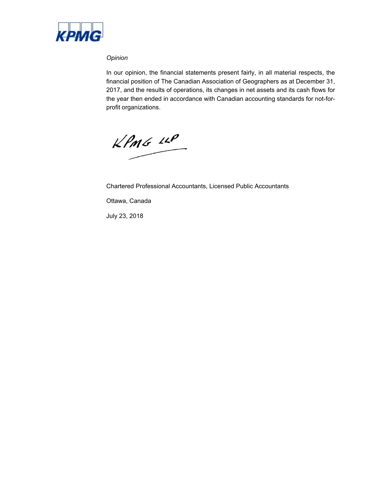

### *Opinion*

In our opinion, the financial statements present fairly, in all material respects, the financial position of The Canadian Association of Geographers as at December 31, 2017, and the results of operations, its changes in net assets and its cash flows for the year then ended in accordance with Canadian accounting standards for not-forprofit organizations.

 $KPMG$   $\mu P$ 

Chartered Professional Accountants, Licensed Public Accountants

Ottawa, Canada

July 23, 2018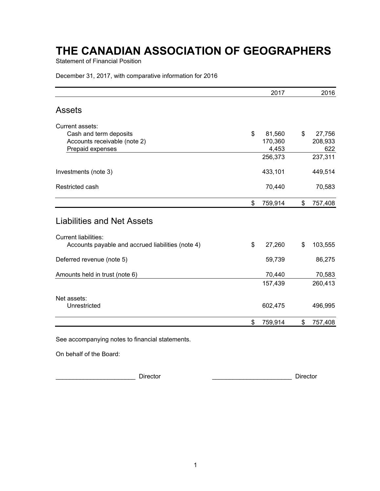Statement of Financial Position

December 31, 2017, with comparative information for 2016

|                                                   | 2017          | 2016          |
|---------------------------------------------------|---------------|---------------|
| <b>Assets</b>                                     |               |               |
| Current assets:                                   |               |               |
| Cash and term deposits                            | \$<br>81,560  | \$<br>27,756  |
| Accounts receivable (note 2)                      | 170,360       | 208,933       |
| Prepaid expenses                                  | 4,453         | 622           |
|                                                   | 256,373       | 237,311       |
| Investments (note 3)                              | 433,101       | 449,514       |
| Restricted cash                                   | 70,440        | 70,583        |
|                                                   | \$<br>759,914 | \$<br>757,408 |
| <b>Liabilities and Net Assets</b>                 |               |               |
| <b>Current liabilities:</b>                       |               |               |
| Accounts payable and accrued liabilities (note 4) | \$<br>27,260  | \$<br>103,555 |
| Deferred revenue (note 5)                         | 59,739        | 86,275        |
| Amounts held in trust (note 6)                    | 70,440        | 70,583        |
|                                                   | 157,439       | 260,413       |
| Net assets:                                       |               |               |
| Unrestricted                                      | 602,475       | 496,995       |
|                                                   | \$<br>759,914 | \$<br>757,408 |

See accompanying notes to financial statements.

On behalf of the Board:

\_\_\_\_\_\_\_\_\_\_\_\_\_\_\_\_\_\_\_\_\_\_\_ Director \_\_\_\_\_\_\_\_\_\_\_\_\_\_\_\_\_\_\_\_\_\_\_ Director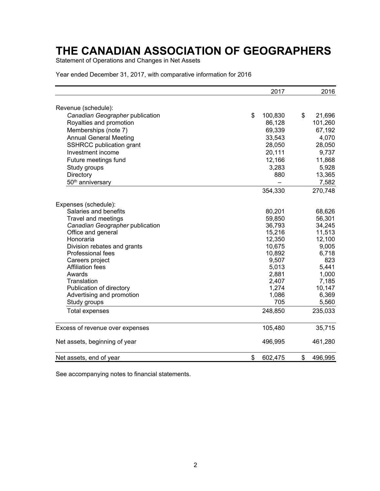Statement of Operations and Changes in Net Assets

Year ended December 31, 2017, with comparative information for 2016

|                                 | 2017          | 2016          |
|---------------------------------|---------------|---------------|
|                                 |               |               |
| Revenue (schedule):             | \$            | \$            |
| Canadian Geographer publication | 100,830       | 21,696        |
| Royalties and promotion         | 86,128        | 101,260       |
| Memberships (note 7)            | 69,339        | 67,192        |
| <b>Annual General Meeting</b>   | 33,543        | 4,070         |
| <b>SSHRCC publication grant</b> | 28,050        | 28,050        |
| Investment income               | 20,111        | 9,737         |
| Future meetings fund            | 12,166        | 11,868        |
| Study groups                    | 3,283         | 5,928         |
| Directory                       | 880           | 13,365        |
| 50 <sup>th</sup> anniversary    |               | 7,582         |
|                                 | 354,330       | 270,748       |
| Expenses (schedule):            |               |               |
| Salaries and benefits           | 80,201        | 68,626        |
| Travel and meetings             | 59,850        | 56,301        |
| Canadian Geographer publication | 36,793        | 34,245        |
| Office and general              | 15,216        | 11,513        |
| Honoraria                       | 12,350        | 12,100        |
| Division rebates and grants     | 10,675        | 9,005         |
| <b>Professional fees</b>        | 10,892        | 6,718         |
| Careers project                 | 9,507         | 823           |
| <b>Affiliation fees</b>         | 5,013         | 5,441         |
| Awards                          | 2,881         | 1,000         |
| Translation                     | 2,407         | 7,185         |
| Publication of directory        | 1,274         | 10,147        |
| Advertising and promotion       | 1,086         | 6,369         |
| Study groups                    | 705           | 5,560         |
| <b>Total expenses</b>           | 248,850       | 235,033       |
| Excess of revenue over expenses | 105,480       | 35,715        |
| Net assets, beginning of year   | 496,995       | 461,280       |
| Net assets, end of year         | \$<br>602,475 | \$<br>496,995 |

See accompanying notes to financial statements.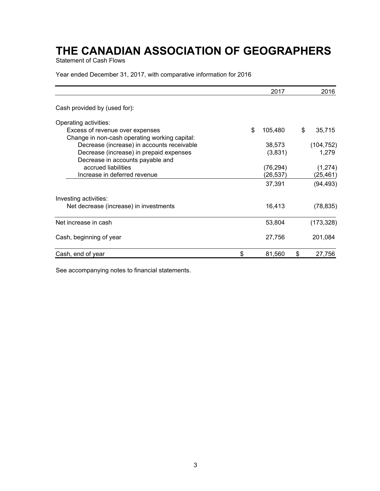Statement of Cash Flows

Year ended December 31, 2017, with comparative information for 2016

|                                               | 2017          | 2016         |
|-----------------------------------------------|---------------|--------------|
| Cash provided by (used for):                  |               |              |
| Operating activities:                         |               |              |
| Excess of revenue over expenses               | \$<br>105,480 | \$<br>35,715 |
| Change in non-cash operating working capital: |               |              |
| Decrease (increase) in accounts receivable    | 38,573        | (104, 752)   |
| Decrease (increase) in prepaid expenses       | (3,831)       | 1,279        |
| Decrease in accounts payable and              |               |              |
| accrued liabilities                           | (76, 294)     | (1, 274)     |
| Increase in deferred revenue                  | (26,537)      | (25, 461)    |
|                                               | 37,391        | (94, 493)    |
| Investing activities:                         |               |              |
| Net decrease (increase) in investments        | 16,413        | (78, 835)    |
| Net increase in cash                          | 53,804        | (173, 328)   |
| Cash, beginning of year                       | 27,756        | 201,084      |
| Cash, end of year                             | \$<br>81,560  | \$<br>27,756 |

See accompanying notes to financial statements.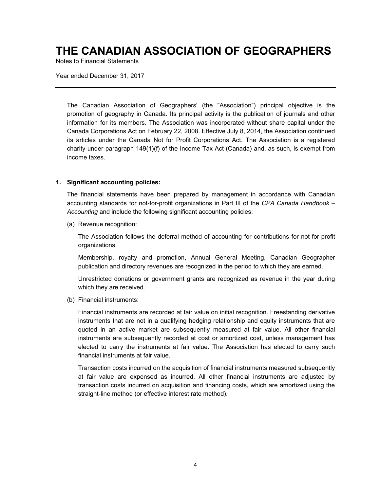Notes to Financial Statements

Year ended December 31, 2017

The Canadian Association of Geographers' (the "Association") principal objective is the promotion of geography in Canada. Its principal activity is the publication of journals and other information for its members. The Association was incorporated without share capital under the Canada Corporations Act on February 22, 2008. Effective July 8, 2014, the Association continued its articles under the Canada Not for Profit Corporations Act. The Association is a registered charity under paragraph 149(1)(f) of the Income Tax Act (Canada) and, as such, is exempt from income taxes.

### **1. Significant accounting policies:**

The financial statements have been prepared by management in accordance with Canadian accounting standards for not-for-profit organizations in Part III of the *CPA Canada Handbook – Accounting* and include the following significant accounting policies:

(a) Revenue recognition:

The Association follows the deferral method of accounting for contributions for not-for-profit organizations.

Membership, royalty and promotion, Annual General Meeting, Canadian Geographer publication and directory revenues are recognized in the period to which they are earned.

Unrestricted donations or government grants are recognized as revenue in the year during which they are received.

(b) Financial instruments:

Financial instruments are recorded at fair value on initial recognition. Freestanding derivative instruments that are not in a qualifying hedging relationship and equity instruments that are quoted in an active market are subsequently measured at fair value. All other financial instruments are subsequently recorded at cost or amortized cost, unless management has elected to carry the instruments at fair value. The Association has elected to carry such financial instruments at fair value.

Transaction costs incurred on the acquisition of financial instruments measured subsequently at fair value are expensed as incurred. All other financial instruments are adjusted by transaction costs incurred on acquisition and financing costs, which are amortized using the straight-line method (or effective interest rate method).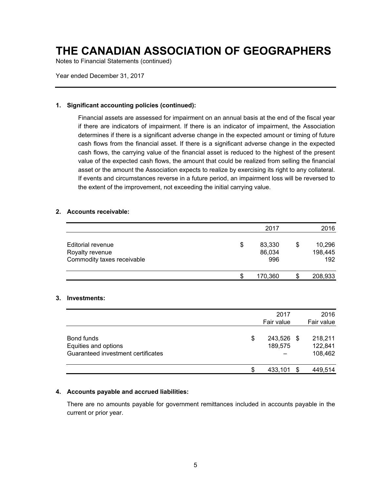Notes to Financial Statements (continued)

#### Year ended December 31, 2017

### **1. Significant accounting policies (continued):**

Financial assets are assessed for impairment on an annual basis at the end of the fiscal year if there are indicators of impairment. If there is an indicator of impairment, the Association determines if there is a significant adverse change in the expected amount or timing of future cash flows from the financial asset. If there is a significant adverse change in the expected cash flows, the carrying value of the financial asset is reduced to the highest of the present value of the expected cash flows, the amount that could be realized from selling the financial asset or the amount the Association expects to realize by exercising its right to any collateral. If events and circumstances reverse in a future period, an impairment loss will be reversed to the extent of the improvement, not exceeding the initial carrying value.

### **2. Accounts receivable:**

|                            | 2017          |    | 2016    |
|----------------------------|---------------|----|---------|
| Editorial revenue          | \$<br>83,330  | \$ | 10,296  |
| Royalty revenue            | 86,034        |    | 198,445 |
| Commodity taxes receivable | 996           |    | 192     |
|                            | \$<br>170,360 | S  | 208,933 |

### **3. Investments:**

|                                                                          |    | 2017<br>Fair value |      | 2016<br>Fair value            |
|--------------------------------------------------------------------------|----|--------------------|------|-------------------------------|
| Bond funds<br>Equities and options<br>Guaranteed investment certificates | \$ | 243,526<br>189,575 | - \$ | 218,211<br>122,841<br>108,462 |
|                                                                          | S  | 433,101            | - \$ | 449,514                       |
|                                                                          |    |                    |      |                               |

### **4. Accounts payable and accrued liabilities:**

There are no amounts payable for government remittances included in accounts payable in the current or prior year.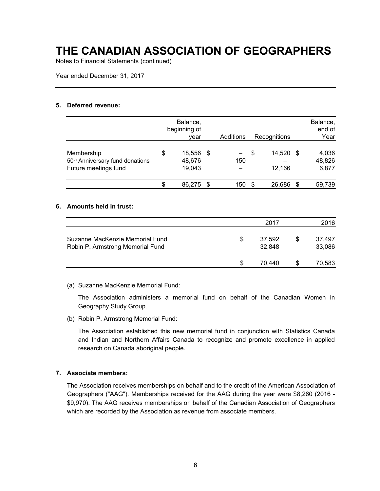Notes to Financial Statements (continued)

Year ended December 31, 2017

### **5. Deferred revenue:**

|                                                                                   | Balance,<br>beginning of<br>vear    | Additions | Recognitions           |      | Balance,<br>end of<br>Year |
|-----------------------------------------------------------------------------------|-------------------------------------|-----------|------------------------|------|----------------------------|
| Membership<br>50 <sup>th</sup> Anniversary fund donations<br>Future meetings fund | \$<br>18,556 \$<br>48,676<br>19,043 | 150       | \$<br>14,520<br>12,166 | - \$ | 4,036<br>48,826<br>6,877   |
|                                                                                   | \$<br>86,275                        | \$<br>150 | \$<br>26,686           | \$   | 59,739                     |

### **6. Amounts held in trust:**

|                                                                     |   | 2017             |   | 2016             |  |
|---------------------------------------------------------------------|---|------------------|---|------------------|--|
| Suzanne MacKenzie Memorial Fund<br>Robin P. Armstrong Memorial Fund | S | 37,592<br>32,848 | S | 37,497<br>33,086 |  |
|                                                                     | S | 70.440           |   | 70,583           |  |

### (a) Suzanne MacKenzie Memorial Fund:

The Association administers a memorial fund on behalf of the Canadian Women in Geography Study Group.

(b) Robin P. Armstrong Memorial Fund:

The Association established this new memorial fund in conjunction with Statistics Canada and Indian and Northern Affairs Canada to recognize and promote excellence in applied research on Canada aboriginal people.

### **7. Associate members:**

The Association receives memberships on behalf and to the credit of the American Association of Geographers ("AAG"). Memberships received for the AAG during the year were \$8,260 (2016 - \$9,970). The AAG receives memberships on behalf of the Canadian Association of Geographers which are recorded by the Association as revenue from associate members.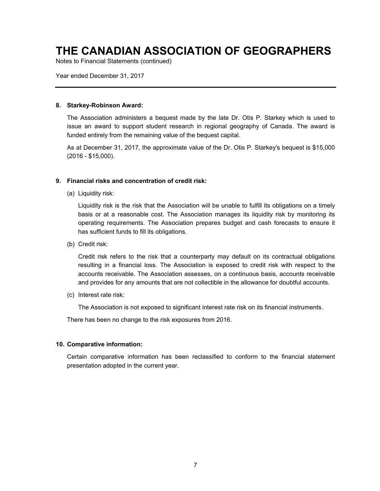Notes to Financial Statements (continued)

Year ended December 31, 2017

#### **8. Starkey-Robinson Award:**

The Association administers a bequest made by the late Dr. Otis P. Starkey which is used to issue an award to support student research in regional geography of Canada. The award is funded entirely from the remaining value of the bequest capital.

As at December 31, 2017, the approximate value of the Dr. Otis P. Starkey's bequest is \$15,000 (2016 - \$15,000).

### **9. Financial risks and concentration of credit risk:**

(a) Liquidity risk:

Liquidity risk is the risk that the Association will be unable to fulfill its obligations on a timely basis or at a reasonable cost. The Association manages its liquidity risk by monitoring its operating requirements. The Association prepares budget and cash forecasts to ensure it has sufficient funds to fill its obligations.

(b) Credit risk:

Credit risk refers to the risk that a counterparty may default on its contractual obligations resulting in a financial loss. The Association is exposed to credit risk with respect to the accounts receivable. The Association assesses, on a continuous basis, accounts receivable and provides for any amounts that are not collectible in the allowance for doubtful accounts.

(c) Interest rate risk:

The Association is not exposed to significant interest rate risk on its financial instruments.

There has been no change to the risk exposures from 2016.

### **10. Comparative information:**

Certain comparative information has been reclassified to conform to the financial statement presentation adopted in the current year.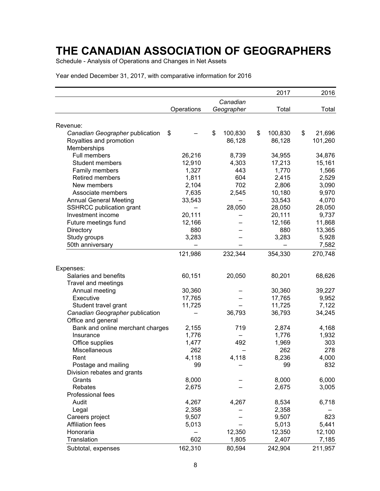Schedule - Analysis of Operations and Changes in Net Assets

Year ended December 31, 2017, with comparative information for 2016

|                                  |            |               | 2017          | 2016         |
|----------------------------------|------------|---------------|---------------|--------------|
|                                  |            | Canadian      |               |              |
|                                  | Operations | Geographer    | Total         | Total        |
|                                  |            |               |               |              |
| Revenue:                         |            |               |               |              |
| Canadian Geographer publication  | \$         | \$<br>100,830 | \$<br>100,830 | \$<br>21,696 |
| Royalties and promotion          |            | 86,128        | 86,128        | 101,260      |
| Memberships                      |            |               |               |              |
| Full members                     | 26,216     | 8,739         | 34,955        | 34,876       |
| <b>Student members</b>           | 12,910     | 4,303         | 17,213        | 15,161       |
| Family members                   | 1,327      | 443           | 1,770         | 1,566        |
| <b>Retired members</b>           | 1,811      | 604           | 2,415         | 2,529        |
|                                  |            | 702           |               |              |
| New members                      | 2,104      |               | 2,806         | 3,090        |
| Associate members                | 7,635      | 2,545         | 10,180        | 9,970        |
| <b>Annual General Meeting</b>    | 33,543     |               | 33,543        | 4,070        |
| <b>SSHRCC publication grant</b>  |            | 28,050        | 28,050        | 28,050       |
| Investment income                | 20,111     |               | 20,111        | 9,737        |
| Future meetings fund             | 12,166     |               | 12,166        | 11,868       |
| Directory                        | 880        |               | 880           | 13,365       |
| Study groups                     | 3,283      |               | 3,283         | 5,928        |
| 50th anniversary                 |            |               |               | 7,582        |
|                                  | 121,986    | 232,344       | 354,330       | 270,748      |
|                                  |            |               |               |              |
| Expenses:                        |            |               |               |              |
| Salaries and benefits            | 60,151     | 20,050        | 80,201        | 68,626       |
| Travel and meetings              |            |               |               |              |
| Annual meeting                   | 30,360     |               | 30,360        | 39,227       |
| Executive                        | 17,765     |               | 17,765        | 9,952        |
| Student travel grant             | 11,725     |               | 11,725        | 7,122        |
| Canadian Geographer publication  |            | 36,793        | 36,793        | 34,245       |
| Office and general               |            |               |               |              |
| Bank and online merchant charges | 2,155      | 719           | 2,874         | 4,168        |
| Insurance                        | 1,776      |               | 1,776         | 1,932        |
| Office supplies                  | 1,477      | 492           | 1,969         | 303          |
| Miscellaneous                    | 262        |               | 262           | 278          |
| Rent                             | 4,118      | 4,118         | 8,236         | 4,000        |
| Postage and mailing              | 99         |               | 99            | 832          |
| Division rebates and grants      |            |               |               |              |
| Grants                           | 8,000      |               | 8,000         | 6,000        |
| <b>Rebates</b>                   | 2,675      |               |               |              |
|                                  |            |               | 2,675         | 3,005        |
| Professional fees                |            |               |               |              |
| Audit                            | 4,267      | 4,267         | 8,534         | 6,718        |
| Legal                            | 2,358      |               | 2,358         |              |
| Careers project                  | 9,507      |               | 9,507         | 823          |
| <b>Affiliation fees</b>          | 5,013      |               | 5,013         | 5,441        |
| Honoraria                        |            | 12,350        | 12,350        | 12,100       |
| Translation                      | 602        | 1,805         | 2,407         | 7,185        |
| Subtotal, expenses               | 162,310    | 80,594        | 242,904       | 211,957      |